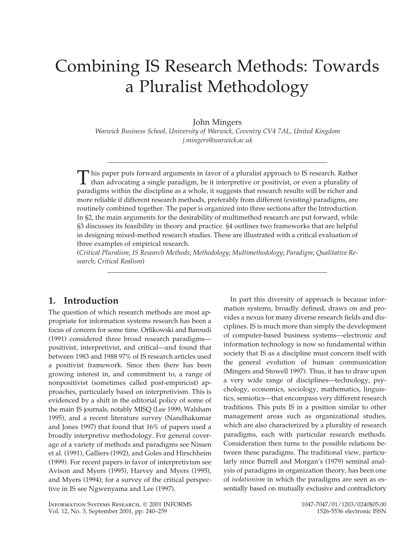# Combining IS Research Methods: Towards a Pluralist Methodology

John Mingers

*Warwick Business School, University of Warwick, Coventry CV4 7AL, United Kingdom j.mingers@warwick.ac.uk*

This paper puts forward arguments in favor of a pluralist approach to IS research. Rather than advocating a single paradigm, be it interpretive or positivist, or even a plurality of paradigms within the discipline as a whole, it suggests that research results will be richer and more reliable if different research methods, preferably from different (existing) paradigms, are routinely combined together. The paper is organized into three sections after the Introduction. In §2, the main arguments for the desirability of multimethod research are put forward, while §3 discusses its feasibility in theory and practice. §4 outlines two frameworks that are helpful in designing mixed-method research studies. These are illustrated with a critical evaluation of three examples of empirical research.

(*Critical Pluralism*; *IS Research Methods*; *Methodology*; *Multimethodology*; *Paradigm*; *Qualitative Research*; *Critical Realism*)

# **1. Introduction**

The question of which research methods are most appropriate for information systems research has been a focus of concern for some time. Orlikowski and Baroudi (1991) considered three broad research paradigms positivist, interpretivist, and critical—and found that between 1983 and 1988 97% of IS research articles used a positivist framework. Since then there has been growing interest in, and commitment to, a range of nonpositivist (sometimes called post-empiricist) approaches, particularly based on interpretivism. This is evidenced by a shift in the editorial policy of some of the main IS journals, notably MISQ (Lee 1999, Walsham 1995), and a recent literature survey (Nandhakumar and Jones 1997) that found that 16% of papers used a broadly interpretive methodology. For general coverage of a variety of methods and paradigms see Nissen et al. (1991), Galliers (1992), and Goles and Hirschheim (1999). For recent papers in favor of interpretivism see Avison and Myers (1995), Harvey and Myers (1995), and Myers (1994); for a survey of the critical perspective in IS see Ngwenyama and Lee (1997).

In part this diversity of approach is because information systems, broadly defined, draws on and provides a nexus for many diverse research fields and disciplines. IS is much more than simply the development of computer-based business systems—electronic and information technology is now so fundamental within society that IS as a discipline must concern itself with the general evolution of human communication (Mingers and Stowell 1997). Thus, it has to draw upon a very wide range of disciplines—technology, psychology, economics, sociology, mathematics, linguistics, semiotics—that encompass very different research traditions. This puts IS in a position similar to other management areas such as organizational studies, which are also characterized by a plurality of research paradigms, each with particular research methods. Consideration then turns to the possible relations between these paradigms. The traditional view, particularly since Burrell and Morgan's (1979) seminal analysis of paradigms in organization theory, has been one of *isolationism* in which the paradigms are seen as essentially based on mutually exclusive and contradictory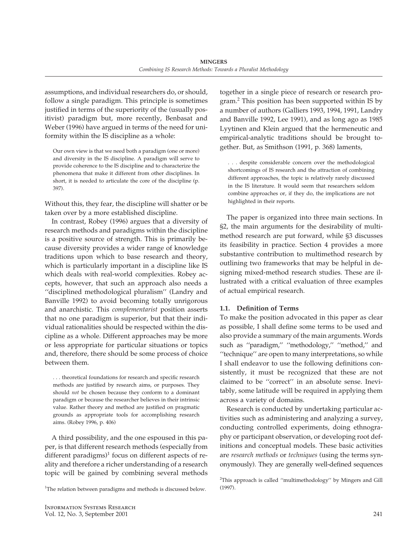assumptions, and individual researchers do, or should, follow a single paradigm. This principle is sometimes justified in terms of the superiority of the (usually positivist) paradigm but, more recently, Benbasat and Weber (1996) have argued in terms of the need for uniformity within the IS discipline as a whole:

Our own view is that we need both a paradigm (one or more) and diversity in the IS discipline. A paradigm will serve to provide coherence to the IS discipline and to characterize the phenomena that make it different from other disciplines. In short, it is needed to articulate the core of the discipline (p. 397).

Without this, they fear, the discipline will shatter or be taken over by a more established discipline.

In contrast, Robey (1996) argues that a diversity of research methods and paradigms within the discipline is a positive source of strength. This is primarily because diversity provides a wider range of knowledge traditions upon which to base research and theory, which is particularly important in a discipline like IS which deals with real-world complexities. Robey accepts, however, that such an approach also needs a "disciplined methodological pluralism" (Landry and Banville 1992) to avoid becoming totally unrigorous and anarchistic. This *complementarist* position asserts that no one paradigm is superior, but that their individual rationalities should be respected within the discipline as a whole. Different approaches may be more or less appropriate for particular situations or topics and, therefore, there should be some process of choice between them.

. . . theoretical foundations for research and specific research methods are justified by research aims, or purposes. They should *not* be chosen because they conform to a dominant paradigm or because the researcher believes in their intrinsic value. Rather theory and method are justified on pragmatic grounds as appropriate tools for accomplishing research aims. (Robey 1996, p. 406)

A third possibility, and the one espoused in this paper, is that different research methods (especially from different paradigms) $1$  focus on different aspects of reality and therefore a richer understanding of a research topicwill be gained by combining several methods

<sup>1</sup>The relation between paradigms and methods is discussed below.

together in a single piece of research or research program.2 This position has been supported within IS by a number of authors (Galliers 1993, 1994, 1991, Landry and Banville 1992, Lee 1991), and as long ago as 1985 Lyytinen and Klein argued that the hermeneutic and empirical-analytic traditions should be brought together. But, as Smithson (1991, p. 368) laments,

. . . despite considerable concern over the methodological shortcomings of IS research and the attraction of combining different approaches, the topic is relatively rarely discussed in the IS literature. It would seem that researchers seldom combine approaches or, if they do, the implications are not highlighted in their reports.

The paper is organized into three main sections. In §2, the main arguments for the desirability of multimethod research are put forward, while §3 discusses its feasibility in practice. Section 4 provides a more substantive contribution to multimethod research by outlining two frameworks that may be helpful in designing mixed-method research studies. These are illustrated with a critical evaluation of three examples of actual empirical research.

#### **1.1. Definition of Terms**

To make the position advocated in this paper as clear as possible, I shall define some terms to be used and also provide a summary of the main arguments. Words such as ''paradigm,'' ''methodology,'' ''method,'' and ''technique'' are open to many interpretations, so while I shall endeavor to use the following definitions consistently, it must be recognized that these are not claimed to be ''correct'' in an absolute sense. Inevitably, some latitude will be required in applying them across a variety of domains.

Research is conducted by undertaking particular activities such as administering and analyzing a survey, conducting controlled experiments, doing ethnography or participant observation, or developing root definitions and conceptual models. These basic activities are *research methods* or *techniques* (using the terms synonymously). They are generally well-defined sequences

<sup>&</sup>lt;sup>2</sup>This approach is called "multimethodology" by Mingers and Gill (1997).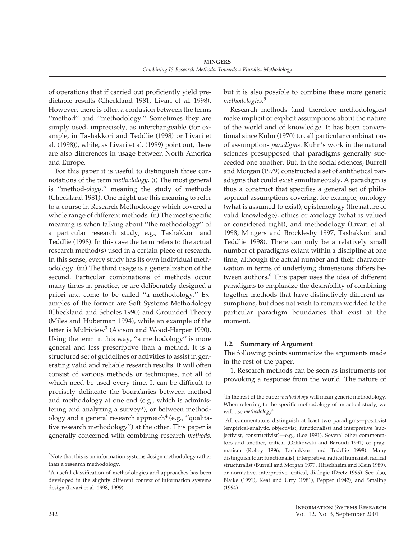of operations that if carried out proficiently yield predictable results (Checkland 1981, Livari et al. 1998). However, there is often a confusion between the terms "method" and "methodology." Sometimes they are simply used, imprecisely, as interchangeable (for example, in Tashakkori and Teddlie (1998) or Livari et al. (1998)), while, as Livari et al. (1999) point out, there are also differences in usage between North America and Europe.

For this paper it is useful to distinguish three connotations of the term *methodology*. (i) The most general is ''method-*ology,*'' meaning the study of methods (Checkland 1981). One might use this meaning to refer to a course in Research Methodology which covered a whole range of different methods. (ii) The most specific meaning is when talking about ''the methodology'' of a particular research study, e.g., Tashakkori and Teddlie (1998). In this case the term refers to the actual research method(s) used in a certain piece of research. In this sense, every study has its own individual methodology. (iii) The third usage is a generalization of the second. Particular combinations of methods occur many times in practice, or are deliberately designed a priori and come to be called ''a methodology.'' Examples of the former are Soft Systems Methodology (Checkland and Scholes 1990) and Grounded Theory (Miles and Huberman 1994), while an example of the latter is Multiview<sup>3</sup> (Avison and Wood-Harper 1990). Using the term in this way, ''a methodology'' is more general and less prescriptive than a method. It is a structured set of guidelines or activities to assist in generating valid and reliable research results. It will often consist of various methods or techniques, not all of which need be used every time. It can be difficult to precisely delineate the boundaries between method and methodology at one end (e.g., which is administering and analyzing a survey?), or between methodology and a general research approach $4$  (e.g., "qualitative research methodology'') at the other. This paper is generally concerned with combining research *methods*, but it is also possible to combine these more generic *methodologies*. 5

Research methods (and therefore methodologies) make implicit or explicit assumptions about the nature of the world and of knowledge. It has been conventional since Kuhn (1970) to call particular combinations of assumptions *paradigms*. Kuhn's work in the natural sciences presupposed that paradigms generally succeeded one another. But, in the social sciences, Burrell and Morgan (1979) constructed a set of antithetical paradigms that could exist simultaneously. A paradigm is thus a construct that specifies a general set of philosophical assumptions covering, for example, ontology (what is assumed to exist), epistemology (the nature of valid knowledge), ethics or axiology (what is valued or considered right), and methodology (Livari et al. 1998, Mingers and Brocklesby 1997, Tashakkori and Teddlie 1998). There can only be a relatively small number of paradigms extant within a discipline at one time, although the actual number and their characterization in terms of underlying dimensions differs between authors.<sup>6</sup> This paper uses the idea of different paradigms to emphasize the desirability of combining together methods that have distinctively different assumptions, but does not wish to remain wedded to the particular paradigm boundaries that exist at the moment.

#### **1.2. Summary of Argument**

The following points summarize the arguments made in the rest of the paper.

1. Research methods can be seen as instruments for provoking a response from the world. The nature of

 $3$ Note that this is an information systems design methodology rather than a research methodology.

<sup>&</sup>lt;sup>4</sup>A useful classification of methodologies and approaches has been developed in the slightly different context of information systems design (Livari et al. 1998, 1999).

<sup>&</sup>lt;sup>5</sup>In the rest of the paper *methodology* will mean generic methodology. When referring to the specific methodology of an actual study, we will use *methodology*<sup>s</sup> .

<sup>6</sup> All commentators distinguish at least two paradigms—positivist (empirical-analytic, objectivist, functionalist) and interpretive (subjectivist, constructivist)—e.g., (Lee 1991). Several other commentators add another, critical (Orlikowski and Baroudi 1991) or pragmatism (Robey 1996, Tashakkori and Teddlie 1998). Many distinguish four; functionalist, interpretive, radical humanist, radical structuralist (Burrell and Morgan 1979, Hirschheim and Klein 1989), or normative, interpretive, critical, dialogic (Deetz 1996). See also, Blaike (1991), Keat and Urry (1981), Pepper (1942), and Smaling (1994).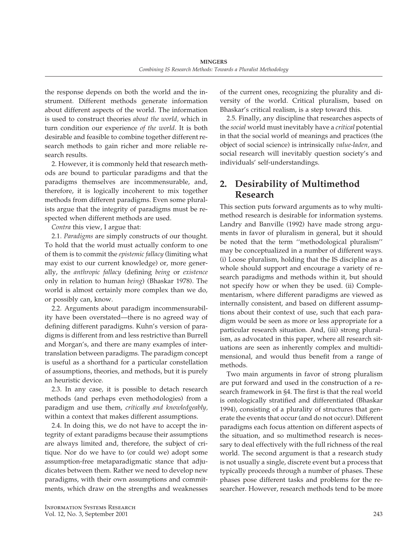the response depends on both the world and the instrument. Different methods generate information about different aspects of the world. The information is used to construct theories *about the world,* which in turn condition our experience *of the world*. It is both desirable and feasible to combine together different research methods to gain richer and more reliable research results.

2. However, it is commonly held that research methods are bound to particular paradigms and that the paradigms themselves are incommensurable, and, therefore, it is logically incoherent to mix together methods from different paradigms. Even some pluralists argue that the integrity of paradigms must be respected when different methods are used.

*Contra* this view, I argue that:

2.1. *Paradigms* are simply constructs of our thought. To hold that the world must actually conform to one of them is to commit the *epistemic fallacy* (limiting what may exist to our current knowledge) or, more generally, the *anthropic fallacy* (defining *being* or *existence* only in relation to human *being*) (Bhaskar 1978). The world is almost certainly more complex than we do, or possibly can, know.

2.2. Arguments about paradigm incommensurability have been overstated—there is no agreed way of defining different paradigms. Kuhn's version of paradigms is different from and less restrictive than Burrell and Morgan's, and there are many examples of intertranslation between paradigms. The paradigm concept is useful as a shorthand for a particular constellation of assumptions, theories, and methods, but it is purely an heuristic device.

2.3. In any case, it is possible to detach research methods (and perhaps even methodologies) from a paradigm and use them, *critically and knowledgeably,* within a context that makes different assumptions.

2.4. In doing this, we do not have to accept the integrity of extant paradigms because their assumptions are always limited and, therefore, the subject of critique. Nor do we have to (or could we) adopt some assumption-free metaparadigmatic stance that adjudicates between them. Rather we need to develop new paradigms, with their own assumptions and commitments, which draw on the strengths and weaknesses of the current ones, recognizing the plurality and diversity of the world. Critical pluralism, based on Bhaskar's critical realism, is a step toward this.

2.5. Finally, any discipline that researches aspects of the *social* world must inevitably have a *critical* potential in that the social world of meanings and practices (the object of social science) is intrinsically *value-laden,* and social research will inevitably question society's and individuals' self-understandings.

# **2. Desirability of Multimethod Research**

This section puts forward arguments as to why multimethod research is desirable for information systems. Landry and Banville (1992) have made strong arguments in favor of pluralism in general, but it should be noted that the term ''methodological pluralism'' may be conceptualized in a number of different ways. (i) Loose pluralism, holding that the IS discipline as a whole should support and encourage a variety of research paradigms and methods within it, but should not specify how or when they be used. (ii) Complementarism, where different paradigms are viewed as internally consistent, and based on different assumptions about their context of use, such that each paradigm would be seen as more or less appropriate for a particular research situation. And, (iii) strong pluralism, as advocated in this paper, where all research situations are seen as inherently complex and multidimensional, and would thus benefit from a range of methods.

Two main arguments in favor of strong pluralism are put forward and used in the construction of a research framework in §4. The first is that the real world is ontologically stratified and differentiated (Bhaskar 1994), consisting of a plurality of structures that generate the events that occur (and do not occur). Different paradigms each focus attention on different aspects of the situation, and so multimethod research is necessary to deal effectively with the full richness of the real world. The second argument is that a research study is not usually a single, discrete event but a process that typically proceeds through a number of phases. These phases pose different tasks and problems for the researcher. However, research methods tend to be more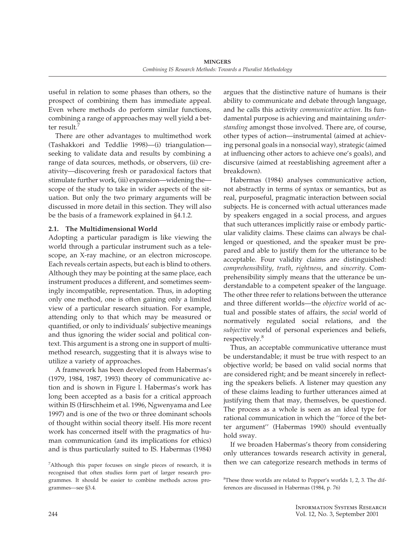useful in relation to some phases than others, so the prospect of combining them has immediate appeal. Even where methods do perform similar functions, combining a range of approaches may well yield a better result.<sup>7</sup>

There are other advantages to multimethod work (Tashakkori and Teddlie 1998)—(i) triangulation seeking to validate data and results by combining a range of data sources, methods, or observers, (ii) creativity—discovering fresh or paradoxical factors that stimulate further work, (iii) expansion—widening the scope of the study to take in wider aspects of the situation. But only the two primary arguments will be discussed in more detail in this section. They will also be the basis of a framework explained in §4.1.2.

#### **2.1. The Multidimensional World**

Adopting a particular paradigm is like viewing the world through a particular instrument such as a telescope, an X-ray machine, or an electron microscope. Each reveals certain aspects, but each is blind to others. Although they may be pointing at the same place, each instrument produces a different, and sometimes seemingly incompatible, representation. Thus, in adopting only one method, one is often gaining only a limited view of a particular research situation. For example, attending only to that which may be measured or quantified, or only to individuals' subjective meanings and thus ignoring the wider social and political context. This argument is a strong one in support of multimethod research, suggesting that it is always wise to utilize a variety of approaches.

A framework has been developed from Habermas's (1979, 1984, 1987, 1993) theory of communicative action and is shown in Figure l. Habermas's work has long been accepted as a basis for a critical approach within IS (Hirschheim et al. 1996, Ngwenyama and Lee 1997) and is one of the two or three dominant schools of thought within social theory itself. His more recent work has concerned itself with the pragmatics of human communication (and its implications for ethics) and is thus particularly suited to IS. Habermas (1984)

argues that the distinctive nature of humans is their ability to communicate and debate through language, and he calls this activity *communicative action.* Its fundamental purpose is achieving and maintaining *understanding* amongst those involved. There are, of course, other types of action—instrumental (aimed at achieving personal goals in a nonsocial way), strategic (aimed at influencing other actors to achieve one's goals), and discursive (aimed at reestablishing agreement after a breakdown).

Habermas (1984) analyses communicative action, not abstractly in terms of syntax or semantics, but as real, purposeful, pragmatic interaction between social subjects. He is concerned with actual utterances made by speakers engaged in a social process, and argues that such utterances implicitly raise or embody particular validity claims. These claims can always be challenged or questioned, and the speaker must be prepared and able to justify them for the utterance to be acceptable. Four validity claims are distinguished: *comprehensibility*, *truth*, *rightness*, and *sincerity*. Comprehensibility simply means that the utterance be understandable to a competent speaker of the language. The other three refer to relations between the utterance and three different worlds—the *objective* world of actual and possible states of affairs, the *social* world of normatively regulated social relations, and the *subjective* world of personal experiences and beliefs, respectively.<sup>8</sup>

Thus, an acceptable communicative utterance must be understandable; it must be true with respect to an objective world; be based on valid social norms that are considered right; and be meant sincerely in reflecting the speakers beliefs. A listener may question any of these claims leading to further utterances aimed at justifying them that may, themselves, be questioned. The process as a whole is seen as an ideal type for rational communication in which the ''force of the better argument'' (Habermas 1990) should eventually hold sway.

If we broaden Habermas's theory from considering only utterances towards research activity in general, then we can categorize research methods in terms of

<sup>&</sup>lt;sup>7</sup>Although this paper focuses on single pieces of research, it is recognised that often studies form part of larger research programmes. It should be easier to combine methods across programmes—see §3.4.

<sup>&</sup>lt;sup>8</sup>These three worlds are related to Popper's worlds 1, 2, 3. The differences are discussed in Habermas (1984, p. 76)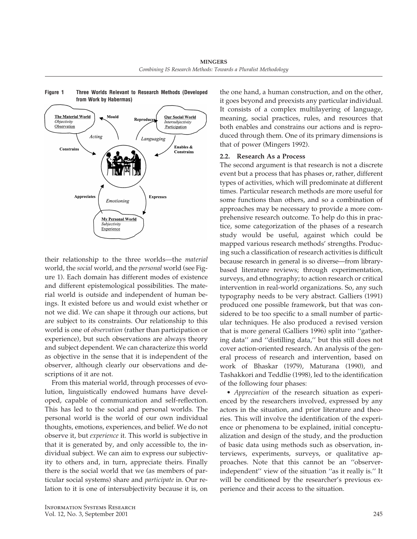

their relationship to the three worlds—the *material* world, the *social* world, and the *personal* world (see Figure 1). Each domain has different modes of existence and different epistemological possibilities. The material world is outside and independent of human beings. It existed before us and would exist whether or not we did. We can shape it through our actions, but are subject to its constraints. Our relationship to this world is one of *observation* (rather than participation or experience), but such observations are always theory and subject dependent. We can characterize this world as objective in the sense that it is independent of the observer, although clearly our observations and descriptions of it are not.

From this material world, through processes of evolution, linguistically endowed humans have developed, capable of communication and self-reflection. This has led to the social and personal worlds. The personal world is the world of our own individual thoughts, emotions, experiences, and belief. We do not observe it, but *experience* it. This world is subjective in that it is generated by, and only accessible to, the individual subject. We can aim to express our subjectivity to others and, in turn, appreciate theirs. Finally there is the social world that we (as members of particular social systems) share and *participate* in. Our relation to it is one of intersubjectivity because it is, on the one hand, a human construction, and on the other, it goes beyond and preexists any particular individual. It consists of a complex multilayering of language, meaning, social practices, rules, and resources that both enables and constrains our actions and is reproduced through them. One of its primary dimensions is that of power (Mingers 1992).

### 2.2. Research As a Process

The second argument is that research is not a discrete event but a process that has phases or, rather, different types of activities, which will predominate at different times. Particular research methods are more useful for some functions than others, and so a combination of approaches may be necessary to provide a more comprehensive research outcome. To help do this in practice, some categorization of the phases of a research study would be useful, against which could be mapped various research methods' strengths. Producing such a classification of research activities is difficult because research in general is so diverse—from librarybased literature reviews; through experimentation, surveys, and ethnography; to action research or critical intervention in real-world organizations. So, any such typography needs to be very abstract. Galliers (1991) produced one possible framework, but that was considered to be too specific to a small number of particular techniques. He also produced a revised version that is more general (Galliers 1996) split into ''gathering data'' and ''distilling data,'' but this still does not cover action-oriented research. An analysis of the general process of research and intervention, based on work of Bhaskar (1979), Maturana (1990), and Tashakkori and Teddlie (1998), led to the identification of the following four phases:

• *Appreciation* of the research situation as experienced by the researchers involved, expressed by any actors in the situation, and prior literature and theories. This will involve the identification of the experience or phenomena to be explained, initial conceptualization and design of the study, and the production of basic data using methods such as observation, interviews, experiments, surveys, or qualitative approaches. Note that this cannot be an ''observerindependent'' view of the situation ''as it really is.'' It will be conditioned by the researcher's previous experience and their access to the situation.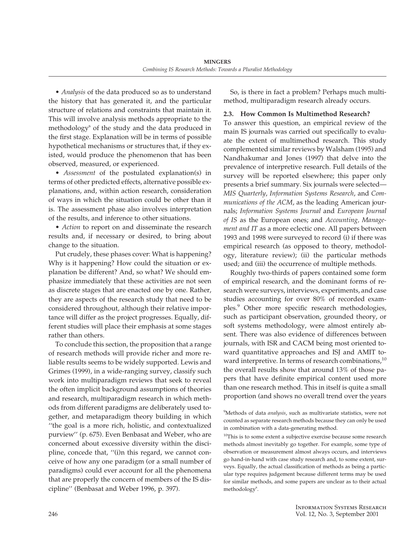• *Analysis* of the data produced so as to understand the history that has generated it, and the particular structure of relations and constraints that maintain it. This will involve analysis methods appropriate to the methodology<sup>s</sup> of the study and the data produced in the first stage. Explanation will be in terms of possible hypothetical mechanisms or structures that, if they existed, would produce the phenomenon that has been observed, measured, or experienced.

• *Assessment* of the postulated explanation(s) in terms of other predicted effects, alternative possible explanations, and, within action research, consideration of ways in which the situation could be other than it is. The assessment phase also involves interpretation of the results, and inference to other situations.

• *Action* to report on and disseminate the research results and, if necessary or desired, to bring about change to the situation.

Put crudely, these phases cover: What is happening? Why is it happening? How could the situation or explanation be different? And, so what? We should emphasize immediately that these activities are not seen as discrete stages that are enacted one by one. Rather, they are aspects of the research study that need to be considered throughout, although their relative importance will differ as the project progresses. Equally, different studies will place their emphasis at some stages rather than others.

To conclude this section, the proposition that a range of research methods will provide richer and more reliable results seems to be widely supported. Lewis and Grimes (1999), in a wide-ranging survey, classify such work into multiparadigm reviews that seek to reveal the often implicit background assumptions of theories and research, multiparadigm research in which methods from different paradigms are deliberately used together, and metaparadigm theory building in which ''the goal is a more rich, holistic, and contextualized purview'' (p. 675). Even Benbasat and Weber, who are concerned about excessive diversity within the discipline, concede that, ''(i)n this regard, we cannot conceive of how any one paradigm (or a small number of paradigms) could ever account for all the phenomena that are properly the concern of members of the IS discipline'' (Benbasat and Weber 1996, p. 397)*.*

So, is there in fact a problem? Perhaps much multimethod, multiparadigm research already occurs.

#### **2.3. How Common Is Multimethod Research?**

To answer this question, an empirical review of the main IS journals was carried out specifically to evaluate the extent of multimethod research. This study complemented similar reviews by Walsham (1995) and Nandhakumar and Jones (1997) that delve into the prevalence of interpretive research. Full details of the survey will be reported elsewhere; this paper only presents a brief summary. Six journals were selected— *MIS Quarterly*, *Information Systems Research*, and *Communications of the ACM*, as the leading American journals; *Information Systems Journal* and *European Journal of IS* as the European ones; and *Accounting, Management and IT* as a more eclectic one. All papers between 1993 and 1998 were surveyed to record (i) if there was empirical research (as opposed to theory, methodology, literature review); (ii) the particular methods used; and (iii) the occurrence of multiple methods.

Roughly two-thirds of papers contained some form of empirical research, and the dominant forms of research were surveys, interviews, experiments, and case studies accounting for over 80% of recorded examples.<sup>9</sup> Other more specific research methodologies, such as participant observation, grounded theory, or soft systems methodology, were almost entirely absent. There was also evidence of differences between journals, with ISR and CACM being most oriented toward quantitative approaches and ISJ and AMIT toward interpretive. In terms of research combinations, $10$ the overall results show that around 13% of those papers that have definite empirical content used more than one research method. This in itself is quite a small proportion (and shows no overall trend over the years

 $10$ This is to some extent a subjective exercise because some research methods almost inevitably go together. For example, some type of observation or measurement almost always occurs, and interviews go hand-in-hand with case study research and, to some extent, surveys. Equally, the actual classification of methods as being a particular type requires judgement because different terms may be used for similar methods, and some papers are unclear as to their actual methodologys .

<sup>9</sup> Methods of data *analysis*, such as multivariate statistics, were not counted as separate research methods because they can only be used in combination with a data-generating method.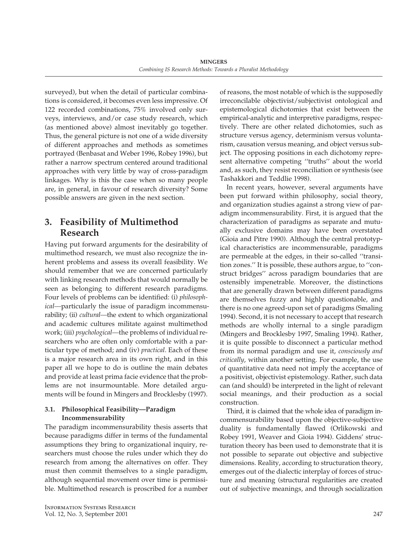**MINGERS** *Combining IS Research Methods: Towards a Pluralist Methodology*

surveyed), but when the detail of particular combinations is considered, it becomes even less impressive. Of 122 recorded combinations, 75% involved only surveys, interviews, and/or case study research, which (as mentioned above) almost inevitably go together. Thus, the general picture is not one of a wide diversity of different approaches and methods as sometimes portrayed (Benbasat and Weber 1996, Robey 1996), but rather a narrow spectrum centered around traditional approaches with very little by way of cross-paradigm linkages. Why is this the case when so many people are, in general, in favour of research diversity? Some possible answers are given in the next section.

# **3. Feasibility of Multimethod Research**

Having put forward arguments for the desirability of multimethod research, we must also recognize the inherent problems and assess its overall feasibility. We should remember that we are concerned particularly with linking research methods that would normally be seen as belonging to different research paradigms. Four levels of problems can be identified: (i) *philosophical—*particularly the issue of paradigm incommensurability; (ii) *cultural—*the extent to which organizational and academic cultures militate against multimethod work; (iii) *psychological—*the problems of individual researchers who are often only comfortable with a particular type of method; and (iv) *practical*. Each of these is a major research area in its own right, and in this paper all we hope to do is outline the main debates and provide at least prima facie evidence that the problems are not insurmountable. More detailed arguments will be found in Mingers and Brocklesby (1997).

## **3.1. Philosophical Feasibility—Paradigm Incommensurability**

The paradigm incommensurability thesis asserts that because paradigms differ in terms of the fundamental assumptions they bring to organizational inquiry, researchers must choose the rules under which they do research from among the alternatives on offer. They must then commit themselves to a single paradigm, although sequential movement over time is permissible. Multimethod research is proscribed for a number of reasons, the most notable of which is the supposedly irreconcilable objectivist/subjectivist ontological and epistemological dichotomies that exist between the empirical-analytic and interpretive paradigms, respectively. There are other related dichotomies, such as structure versus agency, determinism versus voluntarism, causation versus meaning, and object versus subject. The opposing positions in each dichotomy represent alternative competing ''truths'' about the world and, as such, they resist reconciliation or synthesis (see Tashakkori and Teddlie 1998).

In recent years, however, several arguments have been put forward within philosophy, social theory, and organization studies against a strong view of paradigm incommensurability. First, it is argued that the characterization of paradigms as separate and mutually exclusive domains may have been overstated (Gioia and Pitre 1990). Although the central prototypical characteristics are incommensurable, paradigms are permeable at the edges, in their so-called ''transition zones.'' It is possible, these authors argue, to ''construct bridges'' across paradigm boundaries that are ostensibly impenetrable. Moreover, the distinctions that are generally drawn between different paradigms are themselves fuzzy and highly questionable, and there is no one agreed-upon set of paradigms (Smaling 1994). Second, it is not necessary to accept that research methods are wholly internal to a single paradigm (Mingers and Brocklesby 1997, Smaling 1994). Rather, it is quite possible to disconnect a particular method from its normal paradigm and use it, *consciously and critically*, within another setting. For example, the use of quantitative data need not imply the acceptance of a positivist, objectivist epistemology. Rather, such data can (and should) be interpreted in the light of relevant social meanings, and their production as a social construction.

Third, it is claimed that the whole idea of paradigm incommensurability based upon the objective-subjective duality is fundamentally flawed (Orlikowski and Robey 1991, Weaver and Gioia 1994). Giddens' structuration theory has been used to demonstrate that it is not possible to separate out objective and subjective dimensions. Reality, according to structuration theory, emerges out of the dialectic interplay of forces of structure and meaning (structural regularities are created out of subjective meanings, and through socialization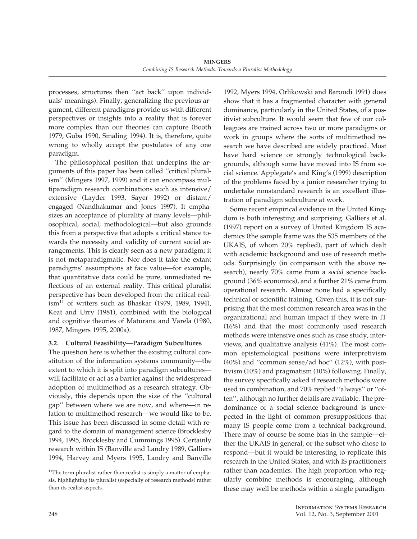**MINGERS** *Combining IS Research Methods: Towards a Pluralist Methodology*

processes, structures then ''act back'' upon individuals' meanings). Finally, generalizing the previous argument, different paradigms provide us with different perspectives or insights into a reality that is forever more complex than our theories can capture (Booth 1979, Guba 1990, Smaling 1994). It is, therefore, quite wrong to wholly accept the postulates of any one paradigm.

The philosophical position that underpins the arguments of this paper has been called ''critical pluralism'' (Mingers 1997, 1999) and it can encompass multiparadigm research combinations such as intensive/ extensive (Layder 1993, Sayer 1992) or distant/ engaged (Nandhakumar and Jones 1997). It emphasizes an acceptance of plurality at many levels—philosophical, social, methodological—but also grounds this from a perspective that adopts a critical stance towards the necessity and validity of current social arrangements. This is clearly seen as a new paradigm; it is not metaparadigmatic. Nor does it take the extant paradigms' assumptions at face value—for example, that quantitative data could be pure, unmediated reflections of an external reality. This critical pluralist perspective has been developed from the critical real- $\text{ism}^{11}$  of writers such as Bhaskar (1979, 1989, 1994), Keat and Urry (1981), combined with the biological and cognitive theories of Maturana and Varela (1980, 1987, Mingers 1995, 2000a).

#### **3.2. Cultural Feasibility—Paradigm Subcultures**

The question here is whether the existing cultural constitution of the information systems community—the extent to which it is split into paradigm subcultures will facilitate or act as a barrier against the widespread adoption of multimethod as a research strategy. Obviously, this depends upon the size of the ''cultural gap'' between where we are now, and where—in relation to multimethod research—we would like to be. This issue has been discussed in some detail with regard to the domain of management science (Brocklesby 1994, 1995, Brocklesby and Cummings 1995). Certainly research within IS (Banville and Landry 1989, Galliers 1994, Harvey and Myers 1995, Landry and Banville 1992, Myers 1994, Orlikowski and Baroudi 1991) does show that it has a fragmented character with general dominance, particularly in the United States, of a positivist subculture. It would seem that few of our colleagues are trained across two or more paradigms or work in groups where the sorts of multimethod research we have described are widely practiced. Most have hard science or strongly technological backgrounds, although some have moved into IS from social science. Applegate's and King's (1999) description of the problems faced by a junior researcher trying to undertake nonstandard research is an excellent illustration of paradigm subculture at work.

Some recent empirical evidence in the United Kingdom is both interesting and surprising. Galliers et al. (1997) report on a survey of United Kingdom IS academics (the sample frame was the 535 members of the UKAIS, of whom 20% replied), part of which dealt with academic background and use of research methods. Surprisingly (in comparison with the above research), nearly 70% came from a *social* science background (36% economics), and a further 21% came from operational research. Almost none had a specifically technical or scientific training. Given this, it is not surprising that the most common research area was in the organizational and human impact if they were in IT (16%) and that the most commonly used research methods were intensive ones such as case study, interviews, and qualitative analysis (41%). The most common epistemological positions were interpretivism (40%) and ''common sense/ad hoc'' (12%), with positivism (10%) and pragmatism (10%) following. Finally, the survey specifically asked if research methods were used in combination, and 70% replied ''always'' or ''often'', although no further details are available. The predominance of a social science background is unexpected in the light of common presuppositions that many IS people come from a technical background. There may of course be some bias in the sample—either the UKAIS in general, or the subset who chose to respond—but it would be interesting to replicate this research in the United States, and with IS practitioners rather than academics. The high proportion who regularly combine methods is encouraging, although these may well be methods within a single paradigm.

 $11$ <sup>The term pluralist rather than realist is simply a matter of empha-</sup> sis, highlighting its pluralist (especially of research methods) rather than its realist aspects.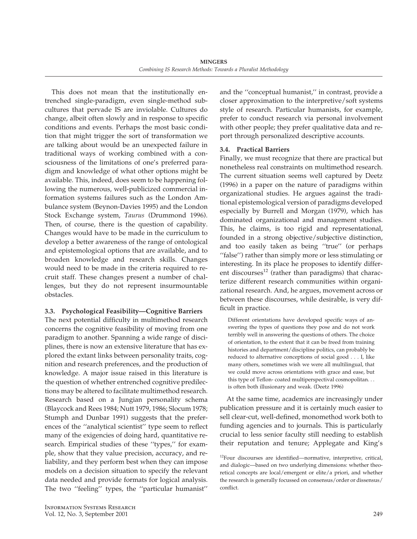This does not mean that the institutionally entrenched single-paradigm, even single-method subcultures that pervade IS are inviolable. Cultures do change, albeit often slowly and in response to specific conditions and events. Perhaps the most basic condition that might trigger the sort of transformation we are talking about would be an unexpected failure in traditional ways of working combined with a consciousness of the limitations of one's preferred paradigm and knowledge of what other options might be available. This, indeed, does seem to be happening following the numerous, well-publicized commercial information systems failures such as the London Ambulance system (Beynon-Davies 1995) and the London Stock Exchange system, *Taurus* (Drummond 1996). Then, of course, there is the question of capability. Changes would have to be made in the curriculum to develop a better awareness of the range of ontological and epistemological options that are available, and to broaden knowledge and research skills. Changes would need to be made in the criteria required to recruit staff. These changes present a number of challenges, but they do not represent insurmountable obstacles.

## **3.3. Psychological Feasibility—Cognitive Barriers**

The next potential difficulty in multimethod research concerns the cognitive feasibility of moving from one paradigm to another. Spanning a wide range of disciplines, there is now an extensive literature that has explored the extant links between personality traits, cognition and research preferences, and the production of knowledge. A major issue raised in this literature is the question of whether entrenched cognitive predilections may be altered to facilitate multimethod research. Research based on a Jungian personality schema (Blaycock and Rees 1984; Nutt 1979, 1986; Slocum 1978; Stumph and Dunbar 1991) suggests that the preferences of the ''analytical scientist'' type seem to reflect many of the exigencies of doing hard, quantitative research. Empirical studies of these ''types,'' for example, show that they value precision, accuracy, and reliability, and they perform best when they can impose models on a decision situation to specify the relevant data needed and provide formats for logical analysis. The two ''feeling'' types, the ''particular humanist'' and the ''conceptual humanist,'' in contrast, provide a closer approximation to the interpretive/soft systems style of research. Particular humanists, for example, prefer to conduct research via personal involvement with other people; they prefer qualitative data and report through personalized descriptive accounts.

## **3.4. Practical Barriers**

Finally, we must recognize that there are practical but nonetheless real constraints on multimethod research. The current situation seems well captured by Deetz (1996) in a paper on the nature of paradigms within organizational studies. He argues against the traditional epistemological version of paradigms developed especially by Burrell and Morgan (1979), which has dominated organizational and management studies. This, he claims, is too rigid and representational, founded in a strong objective/subjective distinction, and too easily taken as being ''true'' (or perhaps ''false'') rather than simply more or less stimulating or interesting. In its place he proposes to identify different discourses $^{12}$  (rather than paradigms) that characterize different research communities within organizational research. And, he argues, movement across or between these discourses, while desirable, is very difficult in practice.

Different orientations have developed specific ways of answering the types of questions they pose and do not work terribly well in answering the questions of others. The choice of orientation, to the extent that it can be freed from training histories and department/discipline politics, can probably be reduced to alternative conceptions of social good . . . I, like many others, sometimes wish we were all multilingual, that we could move across orientations with grace and ease, but this type of Teflon- coated multiperspectival cosmopolitan. . . is often both illusionary and weak. (Deetz 1996)

At the same time, academics are increasingly under publication pressure and it is certainly much easier to sell clear-cut, well-defined, monomethod work both to funding agencies and to journals. This is particularly crucial to less senior faculty still needing to establish their reputation and tenure; Applegate and King's

<sup>12</sup>Four discourses are identified—normative, interpretive, critical, and dialogic—based on two underlying dimensions: whether theoretical concepts are local/emergent or elite/a priori, and whether the research is generally focussed on consensus/order or dissensus/ conflict.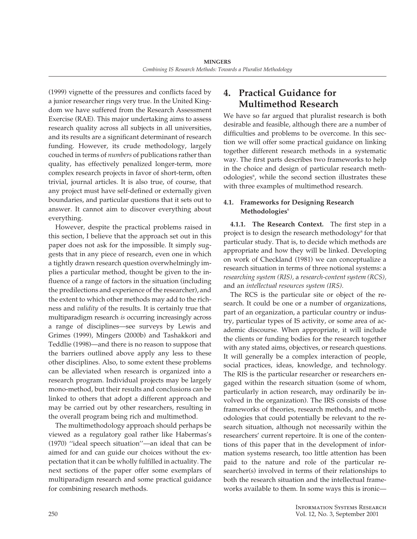(1999) vignette of the pressures and conflicts faced by a junior researcher rings very true. In the United Kingdom we have suffered from the Research Assessment Exercise (RAE). This major undertaking aims to assess research quality across all subjects in all universities, and its results are a significant determinant of research funding. However, its crude methodology, largely couched in terms of *numbers* of publications rather than quality, has effectively penalized longer-term, more complex research projects in favor of short-term, often trivial, journal articles. It is also true, of course, that any project must have self-defined or externally given boundaries, and particular questions that it sets out to answer. It cannot aim to discover everything about everything.

However, despite the practical problems raised in this section, I believe that the approach set out in this paper does not ask for the impossible. It simply suggests that in any piece of research, even one in which a tightly drawn research question overwhelmingly implies a particular method, thought be given to the influence of a range of factors in the situation (including the predilections and experience of the researcher), and the extent to which other methods may add to the richness and *validity* of the results. It is certainly true that multiparadigm research *is* occurring increasingly across a range of disciplines—see surveys by Lewis and Grimes (1999), Mingers (2000b) and Tashakkori and Teddlie (1998)—and there is no reason to suppose that the barriers outlined above apply any less to these other disciplines. Also, to some extent these problems can be alleviated when research is organized into a research program. Individual projects may be largely mono-method, but their results and conclusions can be linked to others that adopt a different approach and may be carried out by other researchers, resulting in the overall program being rich and multimethod.

The multimethodology approach should perhaps be viewed as a regulatory goal rather like Habermas's (1970) ''ideal speech situation''—an ideal that can be aimed for and can guide our choices without the expectation that it can be wholly fulfilled in actuality. The next sections of the paper offer some exemplars of multiparadigm research and some practical guidance for combining research methods.

# **4. Practical Guidance for Multimethod Research**

We have so far argued that pluralist research is both desirable and feasible, although there are a number of difficulties and problems to be overcome. In this section we will offer some practical guidance on linking together different research methods in a systematic way. The first parts describes two frameworks to help in the choice and design of particular research methodologies<sup>s</sup>, while the second section illustrates these with three examples of multimethod research.

## **4.1. Frameworks for Designing Research Methodologies**<sup>s</sup>

**4.1.1. The Research Context.** The first step in a project is to design the research methodology<sup>s</sup> for that particular study. That is, to decide which methods are appropriate and how they will be linked. Developing on work of Checkland (1981) we can conceptualize a research situation in terms of three notional systems: a *researching system(RIS),* a *research-content system(RCS),* and an *intellectual resources system(IRS).*

The RCS is the particular site or object of the research. It could be one or a number of organizations, part of an organization, a particular country or industry, particular types of IS activity, or some area of academic discourse. When appropriate, it will include the clients or funding bodies for the research together with any stated aims, objectives, or research questions. It will generally be a complex interaction of people, social practices, ideas, knowledge, and technology. The RIS is the particular researcher or researchers engaged within the research situation (some of whom, particularly in action research, may ordinarily be involved in the organization). The IRS consists of those frameworks of theories, research methods, and methodologies that could potentially be relevant to the research situation, although not necessarily within the researchers' current repertoire. It is one of the contentions of this paper that in the development of information systems research, too little attention has been paid to the nature and role of the particular researcher(s) involved in terms of their relationships to both the research situation and the intellectual frameworks available to them. In some ways this is ironic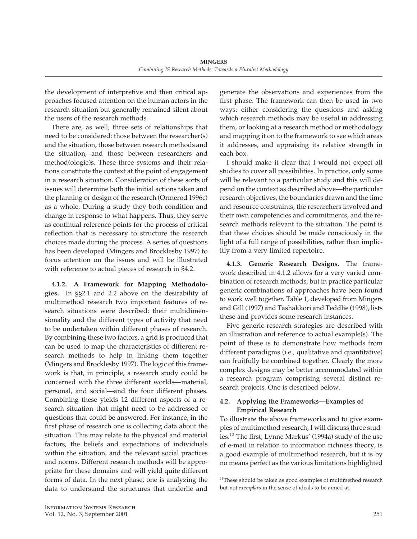the development of interpretive and then critical approaches focused attention on the human actors in the research situation but generally remained silent about the users of the research methods.

There are, as well, three sets of relationships that need to be considered: those between the researcher(s) and the situation, those between research methods and the situation, and those between researchers and method(ologie)s. These three systems and their relations constitute the context at the point of engagement in a research situation. Consideration of these sorts of issues will determine both the initial actions taken and the planning or design of the research (Ormerod 1996c) as a whole. During a study they both condition and change in response to what happens. Thus, they serve as continual reference points for the process of critical reflection that is necessary to structure the research choices made during the process. A series of questions has been developed (Mingers and Brocklesby 1997) to focus attention on the issues and will be illustrated with reference to actual pieces of research in §4.2.

**4.1.2. A Framework for Mapping Methodologies.** In §§2.1 and 2.2 above on the desirability of multimethod research two important features of research situations were described: their multidimensionality and the different types of activity that need to be undertaken within different phases of research. By combining these two factors, a grid is produced that can be used to map the characteristics of different research methods to help in linking them together (Mingers and Brocklesby 1997). The logic of this framework is that, in principle, a research study could be concerned with the three different worlds—material, personal, and social—and the four different phases. Combining these yields 12 different aspects of a research situation that might need to be addressed or questions that could be answered. For instance, in the first phase of research one is collecting data about the situation. This may relate to the physical and material factors, the beliefs and expectations of individuals within the situation, and the relevant social practices and norms. Different research methods will be appropriate for these domains and will yield quite different forms of data. In the next phase, one is analyzing the data to understand the structures that underlie and generate the observations and experiences from the first phase. The framework can then be used in two ways: either considering the questions and asking which research methods may be useful in addressing them, or looking at a research method or methodology and mapping it on to the framework to see which areas it addresses, and appraising its relative strength in each box.

I should make it clear that I would not expect all studies to cover all possibilities. In practice, only some will be relevant to a particular study and this will depend on the context as described above—the particular research objectives, the boundaries drawn and the time and resource constraints, the researchers involved and their own competencies and commitments, and the research methods relevant to the situation. The point is that these choices should be made consciously in the light of a full range of possibilities, rather than implicitly from a very limited repertoire.

4.1.3. Generic Research Designs. The framework described in 4.1.2 allows for a very varied combination of research methods, but in practice particular generic combinations of approaches have been found to work well together. Table 1, developed from Mingers and Gill (1997) and Tashakkori and Teddlie (1998), lists these and provides some research instances.

Five generic research strategies are described with an illustration and reference to actual example(s). The point of these is to demonstrate how methods from different paradigms (i.e., qualitative and quantitative) can fruitfully be combined together. Clearly the more complex designs may be better accommodated within a research program comprising several distinct research projects. One is described below.

## **4.2. Applying the Frameworks—Examples of Empirical Research**

To illustrate the above frameworks and to give examples of multimethod research, I will discuss three studies.13 The first, Lynne Markus' (1994a) study of the use of e-mail in relation to information richness theory, is a good example of multimethod research, but it is by no means perfect as the various limitations highlighted

 $13$ These should be taken as good examples of multimethod research but not *exemplars* in the sense of ideals to be aimed at.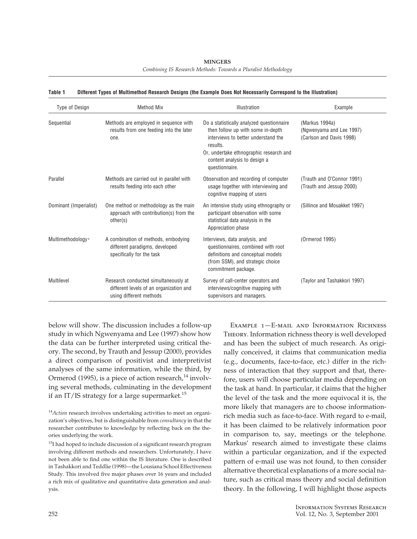**MINGERS** *Combining IS Research Methods: Towards a Pluralist Methodology*

| Table 1<br>Different Types of Multimethod Research Designs (the Example Does Not Necessarily Correspond to the Illustration) |                                                                                                            |                                                                                                                                                                                                                                |                                                                        |
|------------------------------------------------------------------------------------------------------------------------------|------------------------------------------------------------------------------------------------------------|--------------------------------------------------------------------------------------------------------------------------------------------------------------------------------------------------------------------------------|------------------------------------------------------------------------|
| <b>Type of Design</b>                                                                                                        | <b>Method Mix</b>                                                                                          | <b>Illustration</b>                                                                                                                                                                                                            | Example                                                                |
| Sequential                                                                                                                   | Methods are employed in sequence with<br>results from one feeding into the later<br>one.                   | Do a statistically analyzed questionnaire<br>then follow up with some in-depth<br>interviews to better understand the<br>results.<br>Or, undertake ethnographic research and<br>content analysis to design a<br>questionnaire. | (Markus 1994a)<br>(Ngwenyama and Lee 1997)<br>(Carlson and Davis 1998) |
| Parallel                                                                                                                     | Methods are carried out in parallel with<br>results feeding into each other                                | Observation and recording of computer<br>usage together with interviewing and<br>cognitive mapping of users                                                                                                                    | (Trauth and O'Connor 1991)<br>(Trauth and Jessup 2000)                 |
| Dominant (Imperialist)                                                                                                       | One method or methodology as the main<br>approach with contribution(s) from the<br>other(s)                | An intensive study using ethnography or<br>participant observation with some<br>statistical data analysis in the<br>Appreciation phase                                                                                         | (Sillince and Mouakket 1997)                                           |
| Multimethodology <sup>s</sup>                                                                                                | A combination of methods, embodying<br>different paradigms, developed<br>specifically for the task         | Interviews, data analysis, and<br>questionnaires, combined with root<br>definitions and conceptual models<br>(from SSM), and strategic choice<br>commitment package.                                                           | (Ormerod 1995)                                                         |
| Multilevel                                                                                                                   | Research conducted simultaneously at<br>different levels of an organization and<br>using different methods | Survey of call-center operators and<br>interviews/cognitive mapping with<br>supervisors and managers.                                                                                                                          | (Taylor and Tashakkori 1997)                                           |

below will show. The discussion includes a follow-up study in which Ngwenyama and Lee (1997) show how the data can be further interpreted using critical theory. The second, by Trauth and Jessup (2000), provides a direct comparison of positivist and interpretivist analyses of the same information, while the third, by Ormerod (1995), is a piece of action research,<sup>14</sup> involving several methods, culminating in the development if an IT/IS strategy for a large supermarket.<sup>15</sup>

Example 1—E-mail and Information Richness Theory. Information richness theory is well developed and has been the subject of much research. As originally conceived, it claims that communication media (e.g., documents, face-to-face, etc.) differ in the richness of interaction that they support and that, therefore, users will choose particular media depending on the task at hand. In particular, it claims that the higher the level of the task and the more equivocal it is, the more likely that managers are to choose informationrich media such as face-to-face. With regard to e-mail, it has been claimed to be relatively information poor in comparison to, say, meetings or the telephone. Markus' research aimed to investigate these claims within a particular organization, and if the expected pattern of e-mail use was not found, to then consider alternative theoretical explanations of a more social nature, such as critical mass theory and social definition theory. In the following, I will highlight those aspects

<sup>14</sup>*Action* research involves undertaking activities to meet an organization's objectives, but is distinguishable from *consultancy* in that the researcher contributes to knowledge by reflecting back on the theories underlying the work.

<sup>&</sup>lt;sup>15</sup>I had hoped to include discussion of a significant research program involving different methods and researchers. Unfortunately, I have not been able to find one within the IS literature. One is described in Tashakkori and Teddlie (1998)—the Lousiana School Effectiveness Study. This involved five major phases over 16 years and included a rich mix of qualitative and quantitative data generation and analysis.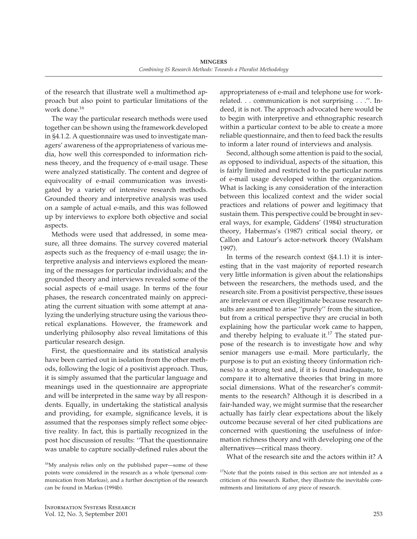of the research that illustrate well a multimethod approach but also point to particular limitations of the work done.<sup>16</sup>

The way the particular research methods were used together can be shown using the framework developed in §4.1.2. A questionnaire was used to investigate managers' awareness of the appropriateness of various media, how well this corresponded to information richness theory, and the frequency of e-mail usage. These were analyzed statistically. The content and degree of equivocality of e-mail communication was investigated by a variety of intensive research methods. Grounded theory and interpretive analysis was used on a sample of actual e-mails, and this was followed up by interviews to explore both objective and social aspects.

Methods were used that addressed, in some measure, all three domains. The survey covered material aspects such as the frequency of e-mail usage; the interpretive analysis and interviews explored the meaning of the messages for particular individuals; and the grounded theory and interviews revealed some of the social aspects of e-mail usage. In terms of the four phases, the research concentrated mainly on appreciating the current situation with some attempt at analyzing the underlying structure using the various theoretical explanations. However, the framework and underlying philosophy also reveal limitations of this particular research design.

First, the questionnaire and its statistical analysis have been carried out in isolation from the other methods, following the logic of a positivist approach. Thus, it is simply assumed that the particular language and meanings used in the questionnaire are appropriate and will be interpreted in the same way by all respondents. Equally, in undertaking the statistical analysis and providing, for example, significance levels, it is assumed that the responses simply reflect some objective reality. In fact, this is partially recognized in the post hoc discussion of results: "That the questionnaire was unable to capture socially-defined rules about the appropriateness of e-mail and telephone use for workrelated...communication is not surprising ...''. Indeed, it is not. The approach advocated here would be to begin with interpretive and ethnographic research within a particular context to be able to create a more reliable questionnaire, and then to feed back the results to inform a later round of interviews and analysis.

Second, although some attention is paid to the social, as opposed to individual, aspects of the situation, this is fairly limited and restricted to the particular norms of e-mail usage developed within the organization. What is lacking is any consideration of the interaction between this localized context and the wider social practices and relations of power and legitimacy that sustain them. This perspective could be brought in several ways, for example, Giddens' (1984) structuration theory, Habermas's (1987) critical social theory, or Callon and Latour's actor-network theory (Walsham 1997).

In terms of the research context (§4.1.1) it is interesting that in the vast majority of reported research very little information is given about the relationships between the researchers, the methods used, and the research site. From a positivist perspective, these issues are irrelevant or even illegitimate because research results are assumed to arise ''purely'' from the situation, but from a critical perspective they are crucial in both explaining how the particular work came to happen, and thereby helping to evaluate it.<sup>17</sup> The stated purpose of the research is to investigate how and why senior managers use e-mail. More particularly, the purpose is to put an existing theory (information richness) to a strong test and, if it is found inadequate, to compare it to alternative theories that bring in more social dimensions. What of the researcher's commitments to the research? Although it is described in a fair-handed way, we might surmise that the researcher actually has fairly clear expectations about the likely outcome because several of her cited publications are concerned with questioning the usefulness of information richness theory and with developing one of the alternatives—critical mass theory.

What of the research site and the actors within it? A

<sup>16</sup>My analysis relies only on the published paper—some of these points were considered in the research as a whole (personal communication from Markus), and a further description of the research can be found in Markus (1994b).

 $17$ Note that the points raised in this section are not intended as a criticism of this research. Rather, they illustrate the inevitable commitments and limitations of any piece of research.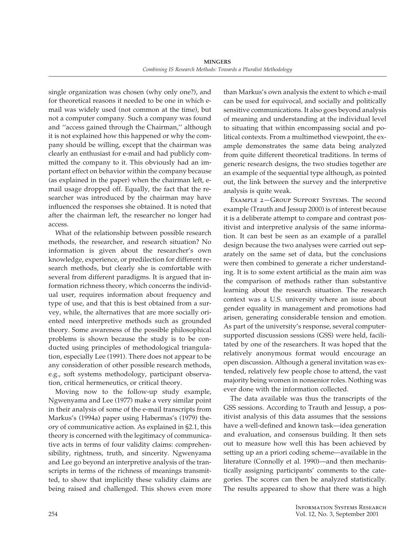**MINGERS** *Combining IS Research Methods: Towards a Pluralist Methodology*

single organization was chosen (why only one?), and for theoretical reasons it needed to be one in which email was widely used (not common at the time), but not a computer company. Such a company was found and ''access gained through the Chairman,'' although it is not explained how this happened or why the company should be willing, except that the chairman was clearly an enthusiast for e-mail and had publicly committed the company to it. This obviously had an important effect on behavior within the company because (as explained in the paper) when the chairman left, email usage dropped off. Equally, the fact that the researcher was introduced by the chairman may have influenced the responses she obtained. It is noted that after the chairman left, the researcher no longer had access.

What of the relationship between possible research methods, the researcher, and research situation? No information is given about the researcher's own knowledge, experience, or predilection for different research methods, but clearly she is comfortable with several from different paradigms. It is argued that information richness theory, which concerns the individual user, requires information about frequency and type of use, and that this is best obtained from a survey, while, the alternatives that are more socially oriented need interpretive methods such as grounded theory. Some awareness of the possible philosophical problems is shown because the study is to be conducted using principles of methodological triangulation, especially Lee (1991). There does not appear to be any consideration of other possible research methods, e.g., soft systems methodology, participant observation, critical hermeneutics, or critical theory.

Moving now to the follow-up study example, Ngwenyama and Lee (1977) make a very similar point in their analysis of some of the e-mail transcripts from Markus's (1994a) paper using Habermas's (1979) theory of communicative action. As explained in §2.1, this theory is concerned with the legitimacy of communicative acts in terms of four validity claims: comprehensibility, rightness, truth, and sincerity. Ngwenyama and Lee go beyond an interpretive analysis of the transcripts in terms of the richness of meanings transmitted, to show that implicitly these validity claims are being raised and challenged. This shows even more than Markus's own analysis the extent to which e-mail can be used for equivocal, and socially and politically sensitive communications. It also goes beyond analysis of meaning and understanding at the individual level to situating that within encompassing social and political contexts. From a multimethod viewpoint, the example demonstrates the same data being analyzed from quite different theoretical traditions. In terms of generic research designs, the two studies together are an example of the sequential type although, as pointed out, the link between the survey and the interpretive analysis is quite weak.

Example 2—Group Support Systems. The second example (Trauth and Jessup 2000) is of interest because it is a deliberate attempt to compare and contrast positivist and interpretive analysis of the same information. It can best be seen as an example of a parallel design because the two analyses were carried out separately on the same set of data, but the conclusions were then combined to generate a richer understanding. It is to some extent artificial as the main aim was the comparison of methods rather than substantive learning about the research situation. The research context was a U.S. university where an issue about gender equality in management and promotions had arisen, generating considerable tension and emotion. As part of the university's response, several computersupported discussion sessions (GSS) were held, facilitated by one of the researchers. It was hoped that the relatively anonymous format would encourage an open discussion. Although a general invitation was extended, relatively few people chose to attend, the vast majority being women in nonsenior roles. Nothing was ever done with the information collected.

The data available was thus the transcripts of the GSS sessions. According to Trauth and Jessup, a positivist analysis of this data assumes that the sessions have a well-defined and known task—idea generation and evaluation, and consensus building. It then sets out to measure how well this has been achieved by setting up an a priori coding scheme—available in the literature (Connolly et al. 1990)—and then mechanistically assigning participants' comments to the categories. The scores can then be analyzed statistically. The results appeared to show that there was a high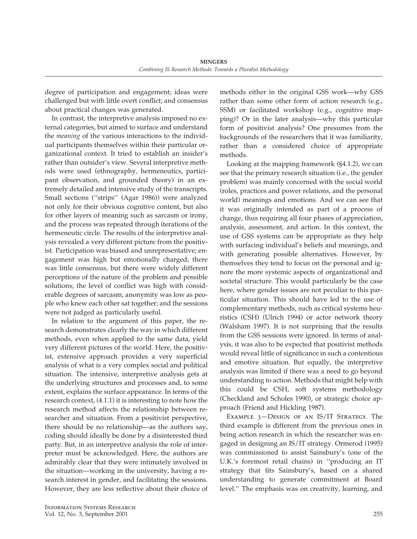degree of participation and engagement; ideas were challenged but with little overt conflict; and consensus about practical changes was generated.

In contrast, the interpretive analysis imposed no external categories, but aimed to surface and understand the *meaning* of the various interactions to the individual participants themselves within their particular organizational context. It tried to establish an insider's rather than outsider's view. Several interpretive methods were used (ethnography, hermeneutics, participant observation, and grounded theory) in an extremely detailed and intensive study of the transcripts. Small sections (''strips'' (Agar 1986)) were analyzed not only for their obvious cognitive content, but also for other layers of meaning such as sarcasm or irony, and the process was repeated through iterations of the hermeneutic circle. The results of the interpretive analysis revealed a very different picture from the positivist. Participation was biased and unrepresentative; engagement was high but emotionally charged; there was little consensus, but there were widely different perceptions of the nature of the problem and possible solutions; the level of conflict was high with considerable degrees of sarcasm; anonymity was low as people who knew each other sat together; and the sessions were not judged as particularly useful.

In relation to the argument of this paper, the research demonstrates clearly the way in which different methods, even when applied to the same data, yield very different pictures of the world. Here, the positivist, extensive approach provides a very superficial analysis of what is a very complex social and political situation. The intensive, interpretive analysis gets at the underlying structures and processes and, to some extent, explains the surface appearance. In terms of the research context, (4.1.1) it is interesting to note how the research method affects the relationship between researcher and situation. From a positivist perspective, there should be no relationship—as the authors say, coding should ideally be done by a disinterested third party. But, in an interpretive analysis the role of interpreter must be acknowledged. Here, the authors are admirably clear that they were intimately involved in the situation—working in the university, having a research interest in gender, and facilitating the sessions. However, they are less reflective about their choice of methods either in the original GSS work—why GSS rather than some other form of action research (e.g., SSM) or facilitated workshop (e.g., cognitive mapping)? Or in the later analysis—why this particular form of positivist analysis? One presumes from the backgrounds of the researchers that it was familiarity, rather than a considered choice of appropriate methods.

Looking at the mapping framework (§4.1.2), we can see that the primary research situation (i.e., the gender problem) was mainly concerned with the social world (roles, practices and power relations, and the personal world) meanings and emotions. And we can see that it was originally intended as part of a process of change, thus requiring all four phases of appreciation, analysis, assessment, and action. In this context, the use of GSS systems can be appropriate as they help with surfacing individual's beliefs and meanings, and with generating possible alternatives. However, by themselves they tend to focus on the personal and ignore the more systemic aspects of organizational and societal structure. This would particularly be the case here, where gender issues are not peculiar to this particular situation. This should have led to the use of complementary methods, such as critical systems heuristics (CSH) (Ulrich 1994) or actor network theory (Walsham 1997). It is not surprising that the results from the GSS sessions were ignored. In terms of analysis, it was also to be expected that positivist methods would reveal little of significance in such a contentious and emotive situation. But equally, the interpretive analysis was limited if there was a need to go beyond understanding to action. Methods that might help with this could be CSH, soft systems methodology (Checkland and Scholes 1990), or strategic choice approach (Friend and Hickling 1987).

EXAMPLE  $3-\text{Design of an IS/IT STRATEGY}$ . The third example is different from the previous ones in being action research in which the researcher was engaged in designing an IS/IT strategy. Ormerod (1995) was commissioned to assist Sainsbury's (one of the U.K.'s foremost retail chains) in ''producing an IT strategy that fits Sainsbury's, based on a shared understanding to generate commitment at Board level.'' The emphasis was on creativity, learning, and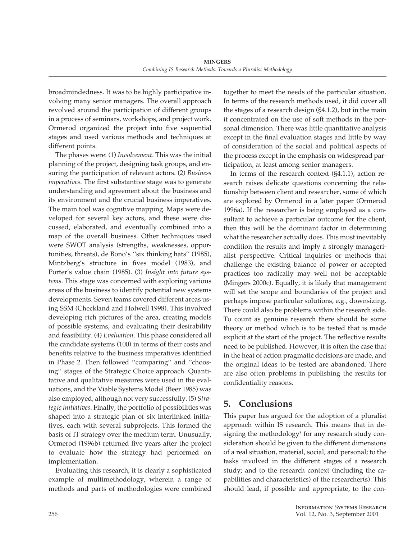broadmindedness. It was to be highly participative involving many senior managers. The overall approach revolved around the participation of different groups in a process of seminars, workshops, and project work. Ormerod organized the project into five sequential stages and used various methods and techniques at different points.

The phases were: (1) *Involvement*. This was the initial planning of the project, designing task groups, and ensuring the participation of relevant actors. (2) *Business imperatives*. The first substantive stage was to generate understanding and agreement about the business and its environment and the crucial business imperatives. The main tool was cognitive mapping. Maps were developed for several key actors, and these were discussed, elaborated, and eventually combined into a map of the overall business. Other techniques used were SWOT analysis (strengths, weaknesses, opportunities, threats), de Bono's ''six thinking hats'' (1985), Mintzberg's structure in fives model (1983), and Porter's value chain (1985). (3) *Insight into future systems*. This stage was concerned with exploring various areas of the business to identify potential new systems developments. Seven teams covered different areas using SSM (Checkland and Holwell 1998). This involved developing rich pictures of the area, creating models of possible systems, and evaluating their desirability and feasibility. (4) *Evaluation*. This phase considered all the candidate systems (100) in terms of their costs and benefits relative to the business imperatives identified in Phase 2. Then followed ''comparing'' and ''choosing'' stages of the Strategic Choice approach. Quantitative and qualitative measures were used in the evaluations, and the Viable Systems Model (Beer 1985) was also employed, although not very successfully. (5) *Strategic initiatives*. Finally, the portfolio of possibilities was shaped into a strategic plan of six interlinked initiatives, each with several subprojects. This formed the basis of IT strategy over the medium term. Unusually, Ormerod (1996b) returned five years after the project to evaluate how the strategy had performed on implementation.

Evaluating this research, it is clearly a sophisticated example of multimethodology, wherein a range of methods and parts of methodologies were combined

together to meet the needs of the particular situation. In terms of the research methods used, it did cover all the stages of a research design (§4.1.2), but in the main it concentrated on the use of soft methods in the personal dimension. There was little quantitative analysis except in the final evaluation stages and little by way of consideration of the social and political aspects of the process except in the emphasis on widespread participation, at least among senior managers.

In terms of the research context (§4.1.1), action research raises delicate questions concerning the relationship between client and researcher, some of which are explored by Ormerod in a later paper (Ormerod 1996a). If the researcher is being employed as a consultant to achieve a particular outcome for the client, then this will be the dominant factor in determining what the researcher actually does. This must inevitably condition the results and imply a strongly managerialist perspective. Critical inquiries or methods that challenge the existing balance of power or accepted practices too radically may well not be acceptable (Mingers 2000c). Equally, it is likely that management will set the scope and boundaries of the project and perhaps impose particular solutions, e.g., downsizing. There could also be problems within the research side. To count as genuine research there should be some theory or method which is to be tested that is made explicit at the start of the project. The reflective results need to be published. However, it is often the case that in the heat of action pragmatic decisions are made, and the original ideas to be tested are abandoned. There are also often problems in publishing the results for confidentiality reasons.

# **5. Conclusions**

This paper has argued for the adoption of a pluralist approach within IS research. This means that in designing the methodology<sup>s</sup> for any research study consideration should be given to the different dimensions of a real situation, material, social, and personal; to the tasks involved in the different stages of a research study; and to the research context (including the capabilities and characteristics) of the researcher(s). This should lead, if possible and appropriate, to the con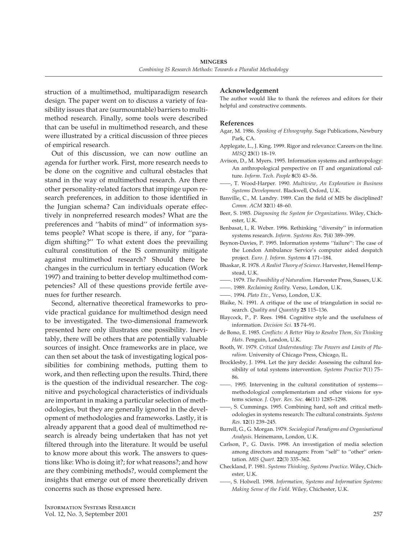struction of a multimethod, multiparadigm research design. The paper went on to discuss a variety of feasibility issues that are (surmountable) barriers to multimethod research. Finally, some tools were described that can be useful in multimethod research, and these were illustrated by a critical discussion of three pieces of empirical research.

Out of this discussion, we can now outline an agenda for further work. First, more research needs to be done on the cognitive and cultural obstacles that stand in the way of multimethod research. Are there other personality-related factors that impinge upon research preferences, in addition to those identified in the Jungian schema? Can individuals operate effectively in nonpreferred research modes? What are the preferences and ''habits of mind'' of information systems people? What scope is there, if any, for ''paradigm shifting?'' To what extent does the prevailing cultural constitution of the IS community mitigate against multimethod research? Should there be changes in the curriculum in tertiary education (Work 1997) and training to better develop multimethod competencies? All of these questions provide fertile avenues for further research.

Second, alternative theoretical frameworks to provide practical guidance for multimethod design need to be investigated. The two-dimensional framework presented here only illustrates one possibility. Inevitably, there will be others that are potentially valuable sources of insight. Once frameworks are in place, we can then set about the task of investigating logical possibilities for combining methods, putting them to work, and then reflecting upon the results. Third, there is the question of the individual researcher. The cognitive and psychological characteristics of individuals are important in making a particular selection of methodologies, but they are generally ignored in the development of methodologies and frameworks. Lastly, it is already apparent that a good deal of multimethod research is already being undertaken that has not yet filtered through into the literature. It would be useful to know more about this work. The answers to questions like: Who is doing it?; for what reasons?; and how are they combining methods?, would complement the insights that emerge out of more theoretically driven concerns such as those expressed here.

#### **Acknowledgement**

The author would like to thank the referees and editors for their helpful and constructive comments.

#### **References**

- Agar, M. 1986. *Speaking of Ethnography*. Sage Publications, Newbury Park, CA.
- Applegate, L., J. King. 1999. Rigor and relevance: Careers on the line. *MISQ* **23**(1) 18–19.
- Avison, D., M. Myers. 1995. Information systems and anthropology: An anthropological perspective on IT and organizational culture. *Inform. Tech. People* **8**(3) 43–56.
- ——, T. Wood-Harper. 1990. *Multiview, An Exploration in Business Systems Development*. Blackwell, Oxford, U.K.
- Banville, C., M. Landry. 1989. Can the field of MIS be disciplined? *Comm. ACM* **32**(1) 48–60.
- Beer, S. 1985. *Diagnosing the System for Organizations*. Wiley, Chichester, U.K.
- Benbasat, I., R. Weber. 1996. Rethinking ''diversity'' in information systems research. *Inform. Systems Res.* **7**(4) 389–399.
- Beynon-Davies, P. 1995. Information systems ''failure'': The case of the London Ambulance Service's computer aided despatch project. *Euro. J. Inform. Systems* **4** 171–184.
- Bhaskar, R. 1978. *A Realist Theory of Science*. Harvester, Hemel Hempstead, U.K.
- ——. 1979. *The Possibility of Naturalism*. Harvester Press, Sussex, U.K.
- ——. 1989. *Reclaiming Reality*. Verso, London, U.K.
- ——. 1994. *Plato Etc.*, Verso, London, U.K.
- Blaike, N. 1991. A critique of the use of triangulation in social research. *Quality and Quantity* **25** 115–136.
- Blaycock, P., P. Rees. 1984. Cognitive style and the usefulness of information. *Decision Sci.* **15** 74–91.
- de Bono, E. 1985. *Conflicts: A Better Way to Resolve Them, Six Thinking Hats*. Penguin, London, U.K.
- Booth, W. 1979. *Critical Understanding: The Powers and Limits of Pluralism.* University of Chicago Press, Chicago, IL.
- Brocklesby, J. 1994. Let the jury decide: Assessing the cultural feasibility of total systems intervention. *Systems Practice* **7**(1) 75– 86.
- ——. 1995. Intervening in the cultural constitution of systems methodological complementarism and other visions for systems science. *J. Oper. Res. Soc.* **46**(11) 1285–1298.
- ——, S. Cummings. 1995. Combining hard, soft and critical methodologies in systems research: The cultural constraints. *Systems Res.* **12**(1) 239–245.
- Burrell, G., G. Morgan. 1979. *Sociological Paradigms and Organisational Analysis*. Heinemann, London, U.K.
- Carlson, P., G. Davis. 1998. An investigation of media selection among directors and managers: From ''self'' to ''other'' orientation. *MIS Quart.* **22**(3) 335–362.
- Checkland, P. 1981. *Systems Thinking, Systems Practice*. Wiley, Chichester, U.K.
- ——, S. Holwell. 1998. *Information, Systems and Information Systems: Making Sense of the Field*. Wiley, Chichester, U.K.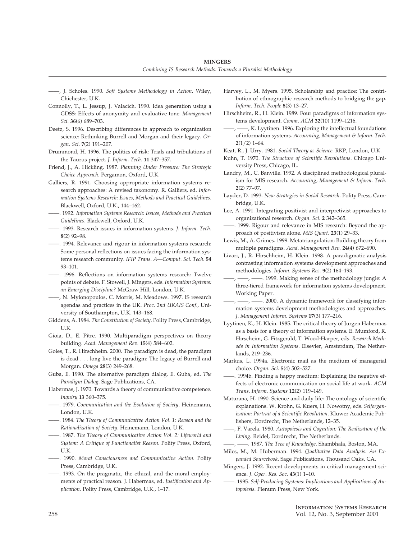- ——, J. Scholes. 1990. *Soft Systems Methodology in Action*. Wiley, Chichester, U.K.
- Connolly, T., L. Jessup, J. Valacich. 1990. Idea generation using a GDSS: Effects of anonymity and evaluative tone. *Management Sci.* **36**(6) 689–703.
- Deetz, S. 1996. Describing differences in approach to organization science: Rethinking Burrell and Morgan and their legacy. *Organ. Sci.* **7**(2) 191–207.
- Drummond, H. 1996. The politics of risk: Trials and tribulations of the Taurus project. *J. Inform. Tech.* **11** 347–357.
- Friend, J., A. Hickling. 1987. *Planning Under Pressure: The Strategic Choice Approach*. Pergamon, Oxford, U.K.
- Galliers, R. 1991. Choosing appropriate information systems research approaches: A revised taxonomy. R. Galliers, ed. *Information Systems Research: Issues, Methods and Practical Guidelines*. Blackwell, Oxford, U.K., 144–162.
- ——. 1992. *Information Systems Research: Issues, Methods and Practical Guidelines.* Blackwell, Oxford, U.K.
- ——. 1993. Research issues in information systems. *J. Inform. Tech.* **8**(2) 92–98.
- -. 1994. Relevance and rigour in information systems research: Some personal reflections on issues facing the information systems research community. *IFIP Trans. A—Comput. Sci. Tech.* **54** 93–101.
- ——. 1996. Reflections on information systems research: Twelve points of debate. F. Stowell, J. Mingers, eds. *Information Systems: an Emerging Discipline?* McGraw Hill, London, U.K.
- ——, N. Mylonopoulos, C. Morris, M. Meadows. 1997. IS research agendas and practices in the UK. *Proc. 2nd UKAIS Conf.*, University of Southampton, U.K. 143–168.
- Giddens, A. 1984. *The Constitution of Society*. Polity Press, Cambridge, U.K.
- Gioia, D., E. Pitre. 1990. Multiparadigm perspectives on theory building. *Acad. Management Rev.* **15**(4) 584–602.
- Goles, T., R. Hirschheim. 2000. The paradigm is dead, the paradigm is dead . . . long live the paradigm: The legacy of Burrell and Morgan. *Omega* **28**(3) 249–268.
- Guba, E. 1990. The alternative paradigm dialog. E. Guba, ed. *The ParadigmDialog*. Sage Publications, CA.
- Habermas, J. 1970. Towards a theory of communicative competence. *Inquiry* **13** 360–375.
- ——. 1979. *Communication and the Evolution of Society*. Heinemann, London, U.K.
- ——. 1984. *The Theory of Communicative Action Vol. 1: Reason and the Rationalization of Society*. Heinemann, London, U.K.
- ——. 1987. *The Theory of Communicative Action Vol. 2: Lifeworld and System: A Critique of Functionalist Reason*. Polity Press, Oxford, U.K.
- ——. 1990. *Moral Consciousness and Communicative Action*. Polity Press, Cambridge, U.K.
- -. 1993. On the pragmatic, the ethical, and the moral employments of practical reason. J. Habermas, ed. *Justification and Application*. Polity Press, Cambridge, U.K., 1–17.
- Harvey, L., M. Myers. 1995. Scholarship and practice: The contribution of ethnographic research methods to bridging the gap. *Inform. Tech. People* **8**(3) 13–27.
- Hirschheim, R., H. Klein. 1989. Four paradigms of information systems development. *Comm. ACM* **32**(10) 1199–1216.
- -, K. Lyytinen. 1996. Exploring the intellectual foundations of information systems. *Accounting, Management & Inform. Tech.* **2**(1/2) 1–64.
- Keat, R., J. Urry. 1981. *Social Theory as Science*. RKP, London, U.K.
- Kuhn, T. 1970. *The Structure of Scientific Revolutions*. Chicago University Press, Chicago, IL.
- Landry, M., C. Banville. 1992. A disciplined methodological pluralism for MIS research. *Accounting, Management & Inform. Tech.* **2**(2) 77–97.
- Layder, D. 1993. *New Strategies in Social Research*. Polity Press, Cambridge, U.K.
- Lee, A. 1991. Integrating positivist and interpretivist approaches to organizational research. *Organ. Sci.* **2** 342–365.
- ——. 1999. Rigour and relevance in MIS research: Beyond the approach of positivism alone. *MIS Quart.* **23**(1) 29–33.
- Lewis, M., A. Grimes. 1999. Metatriangulation: Building theory from multiple paradigms. *Acad. Management Rev.* **24**(4) 672–690.
- Livari, J., R. Hirschheim, H. Klein. 1998. A paradigmatic analysis contrasting information systems development approaches and methodologies. *Inform. Systems Res.* **9**(2) 164–193.
- ——, ——, ——. 1999. Making sense of the methodology jungle: A three-tiered framework for information systems development. Working Paper.
- -, ——, ——. 2000. A dynamic framework for classifying information systems development methodologies and approaches. *J. Management Inform. Systems* **17**(3) 177–216.
- Lyytinen, K., H. Klein. 1985. The critical theory of Jurgen Habermas as a basis for a theory of information systems. E. Mumford, R. Hirscheim, G. Fitzgerald, T. Wood-Harper, eds. *Research Methods in Information Systems*. Elsevier, Amsterdam, The Netherlands, 219–236.
- Markus, L. 1994a. Electronic mail as the medium of managerial choice. *Organ. Sci.* **5**(4) 502–527.
- ——. 1994b. Finding a happy medium: Explaining the negative effects of electronic communication on social life at work. *ACM Trans. Inform. Systems* **12**(2) 119–149.
- Maturana, H. 1990. Science and daily life: The ontology of scientific explanations. W. Krohn, G. Kuers, H. Nowotny, eds. *Selforganization: Portrait of a Scientific Revolution*. Kluwer Academic Publishers, Dordrecht, The Netherlands, 12–35.
- ——, F. Varela. 1980. *Autopoiesis and Cognition: The Realization of the Living*. Reidel, Dordrecht, The Netherlands.
	- ——, ——. 1987. *The Tree of Knowledge*. Shambhala, Boston, MA.
- Miles, M., M. Huberman. 1994. *Qualitative Data Analysis: An Expanded Sourcebook*. Sage Publications, Thousand Oaks, CA.
- Mingers, J. 1992. Recent developments in critical management science. *J. Oper. Res. Soc.* **43**(1) 1–10.
- ——. 1995. *Self-Producing Systems: Implications and Applications of Autopoiesis*. Plenum Press, New York.